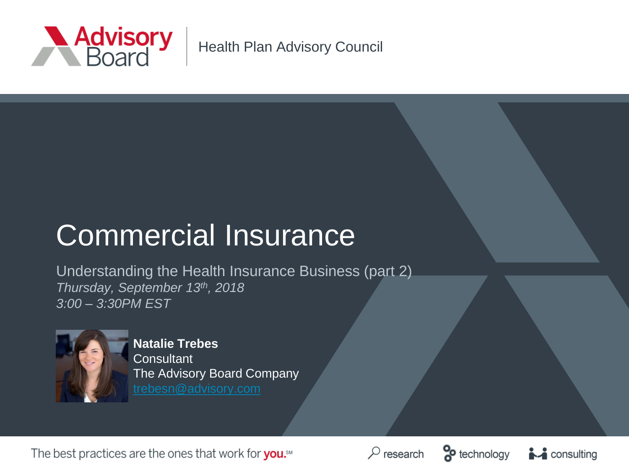

Health Plan Advisory Council

# Commercial Insurance

Understanding the Health Insurance Business (part 2) *Thursday, September 13th, 2018 3:00 – 3:30PM EST*



**Natalie Trebes Consultant** The Advisory Board Company

The best practices are the ones that work for you.<sup>5M</sup>





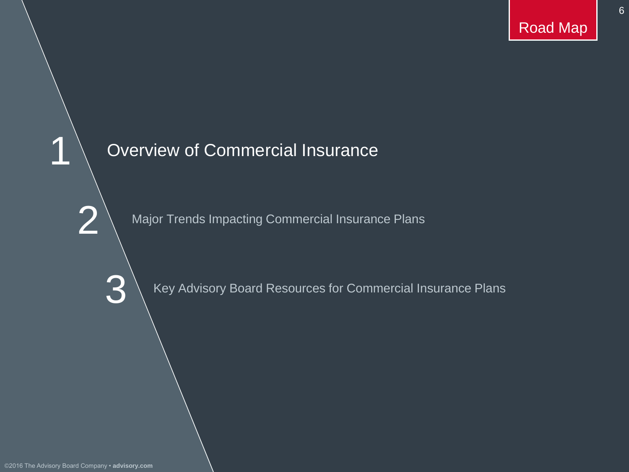6

### Overview of Commercial Insurance

Major Trends Impacting Commercial Insurance Plans

Key Advisory Board Resources for Commercial Insurance Plans

2

1

3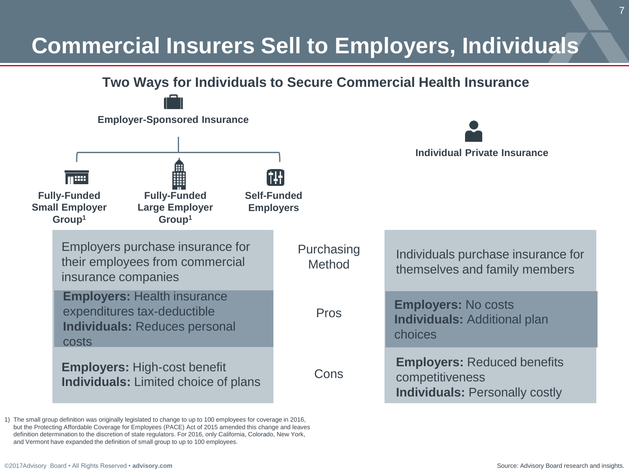## **Commercial Insurers Sell to Employers, Individuals**



1) The small group definition was originally legislated to change to up to 100 employees for coverage in 2016, but the Protecting Affordable Coverage for Employees (PACE) Act of 2015 amended this change and leaves definition determination to the discretion of state regulators. For 2016, only California, Colorado, New York, and Vermont have expanded the definition of small group to up to 100 employees.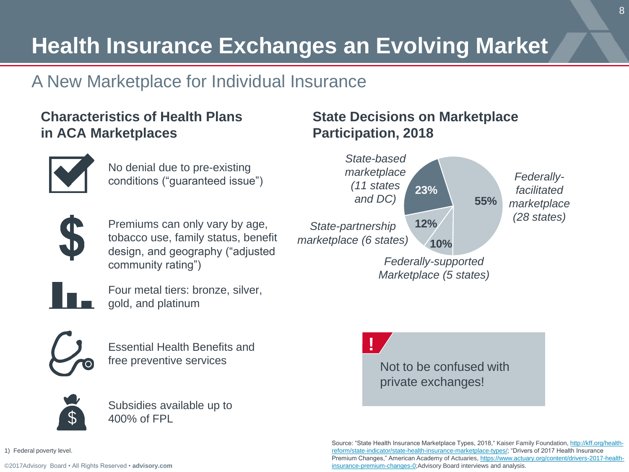## **Health Insurance Exchanges an Evolving Market**

### A New Marketplace for Individual Insurance

### **Characteristics of Health Plans in ACA Marketplaces**



No denial due to pre-existing conditions ("guaranteed issue")



Premiums can only vary by age, tobacco use, family status, benefit design, and geography ("adjusted community rating")



Four metal tiers: bronze, silver, gold, and platinum



Essential Health Benefits and free preventive services **Not to be confused with** 



Subsidies available up to 400% of FPL

### **State Decisions on Marketplace Participation, 2018**





private exchanges!

Source: "State Health Insurance Marketplace Types, 2018," Kaiser Family Foundation, http://kff.org/health[reform/state-indicator/state-health-insurance-marketplace-types/; "Drivers of 2017 Health Insurance](http://kff.org/health-reform/state-indicator/state-health-insurance-marketplace-types/)  [Premium Changes," American Academy of Actuaries, https://www.actuary.org/content/drivers-2017-health](https://www.actuary.org/content/drivers-2017-health-insurance-premium-changes-0)insurance-premium-changes-0;Advisory Board interviews and analysis.

8

1) Federal poverty level.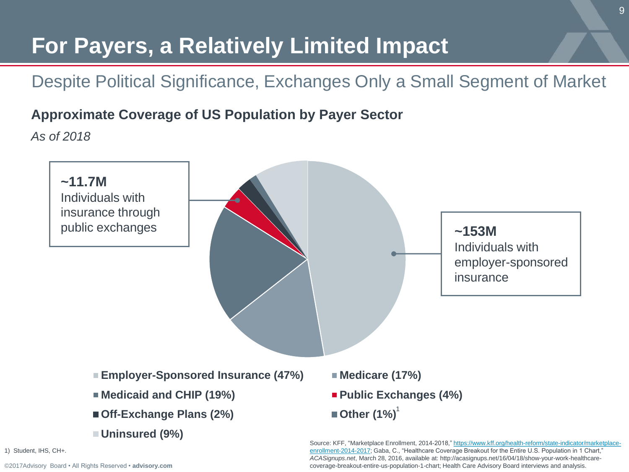## **For Payers, a Relatively Limited Impact**

### Despite Political Significance, Exchanges Only a Small Segment of Market

### **Approximate Coverage of US Population by Payer Sector**

*As of 2018*



1) Student, IHS, CH+.

[©2017Advisory Board • All Rights Reserved •](https://www.advisory.com/) **advisory.com**

Source: KFF, "Marketplace Enrollment, 2014-2018," https://www.kff.org/health-reform/state-indicator/marketplace[enrollment-2014-2017; Gaba, C., "Healthcare Coverage Breakout for the Entire U.S. Population in 1 Chart,"](https://www.kff.org/health-reform/state-indicator/marketplace-enrollment-2014-2017)  *ACASignups.net*, March 28, 2016, available at: http://acasignups.net/16/04/18/show-your-work-healthcarecoverage-breakout-entire-us-population-1-chart; Health Care Advisory Board interviews and analysis.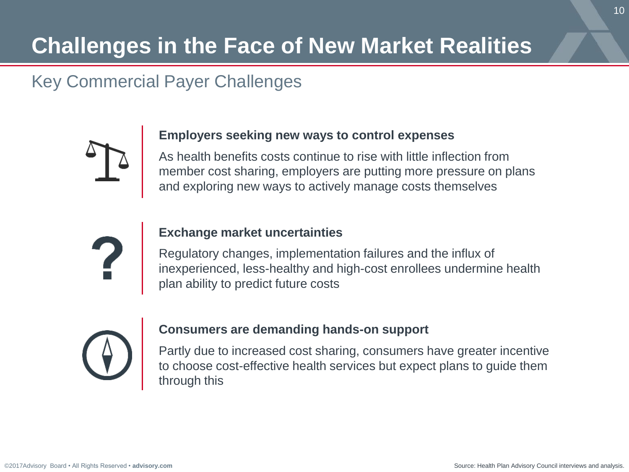## **Challenges in the Face of New Market Realities**

### Key Commercial Payer Challenges



#### **Employers seeking new ways to control expenses**

As health benefits costs continue to rise with little inflection from member cost sharing, employers are putting more pressure on plans and exploring new ways to actively manage costs themselves



#### **Exchange market uncertainties**

Regulatory changes, implementation failures and the influx of inexperienced, less-healthy and high-cost enrollees undermine health plan ability to predict future costs



#### **Consumers are demanding hands-on support**

Partly due to increased cost sharing, consumers have greater incentive to choose cost-effective health services but expect plans to guide them through this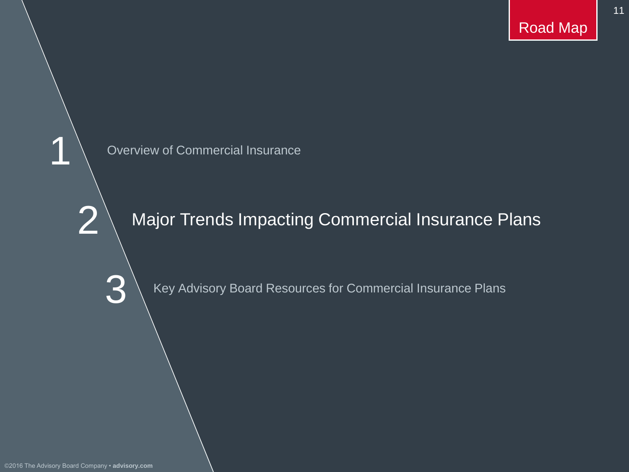11

Overview of Commercial Insurance

Major Trends Impacting Commercial Insurance Plans

Key Advisory Board Resources for Commercial Insurance Plans

2

1

3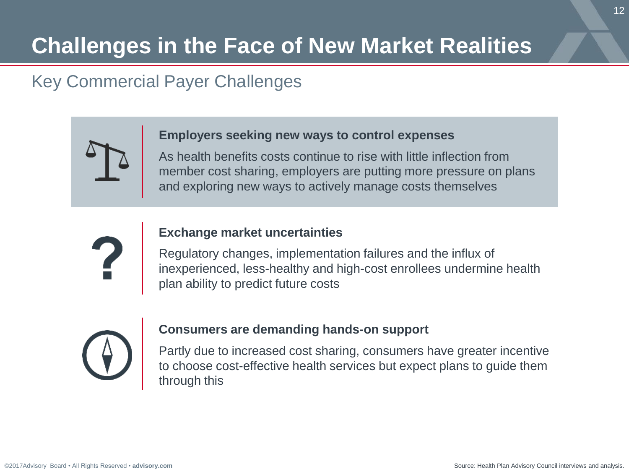## **Challenges in the Face of New Market Realities**

### Key Commercial Payer Challenges

#### **Employers seeking new ways to control expenses**

As health benefits costs continue to rise with little inflection from member cost sharing, employers are putting more pressure on plans and exploring new ways to actively manage costs themselves



#### **Exchange market uncertainties**

Regulatory changes, implementation failures and the influx of inexperienced, less-healthy and high-cost enrollees undermine health plan ability to predict future costs



#### **Consumers are demanding hands-on support**

Partly due to increased cost sharing, consumers have greater incentive to choose cost-effective health services but expect plans to guide them through this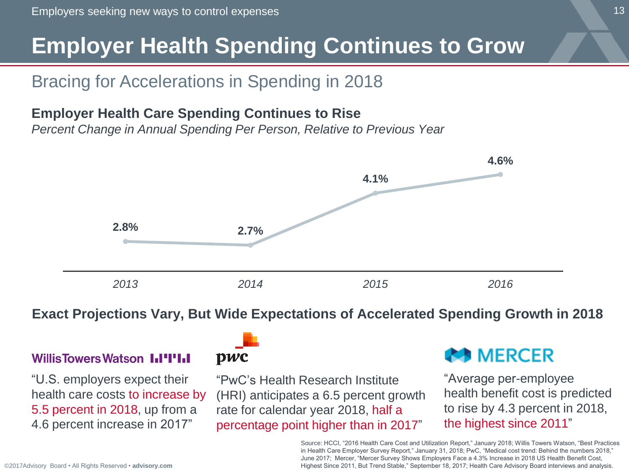## **Employer Health Spending Continues to Grow**

### Bracing for Accelerations in Spending in 2018

### **Employer Health Care Spending Continues to Rise**

*Percent Change in Annual Spending Per Person, Relative to Previous Year* 



#### **Exact Projections Vary, But Wide Expectations of Accelerated Spending Growth in 2018**

### **Willis Towers Watson III'IIII**

"U.S. employers expect their health care costs to increase by 5.5 percent in 2018, up from a 4.6 percent increase in 2017"



"PwC's Health Research Institute (HRI) anticipates a 6.5 percent growth rate for calendar year 2018, half a percentage point higher than in 2017"

### **AS MERCER**

"Average per-employee health benefit cost is predicted to rise by 4.3 percent in 2018, the highest since 2011"

Source: HCCI, "2016 Health Care Cost and Utilization Report," January 2018; Willis Towers Watson, "Best Practices in Health Care Employer Survey Report," January 31, 2018; PwC, "Medical cost trend: Behind the numbers 2018," June 2017; Mercer, "Mercer Survey Shows Employers Face a 4.3% Increase in 2018 US Health Benefit Cost, Highest Since 2011, But Trend Stable," September 18, 2017; Health Care Advisory Board interviews and analysis.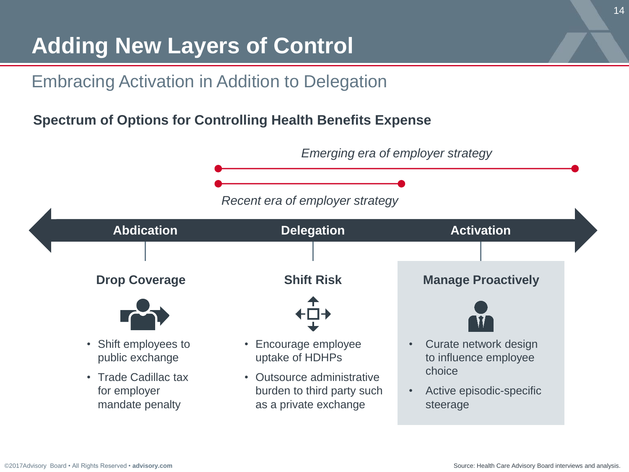## **Adding New Layers of Control**

### Embracing Activation in Addition to Delegation

### **Spectrum of Options for Controlling Health Benefits Expense**

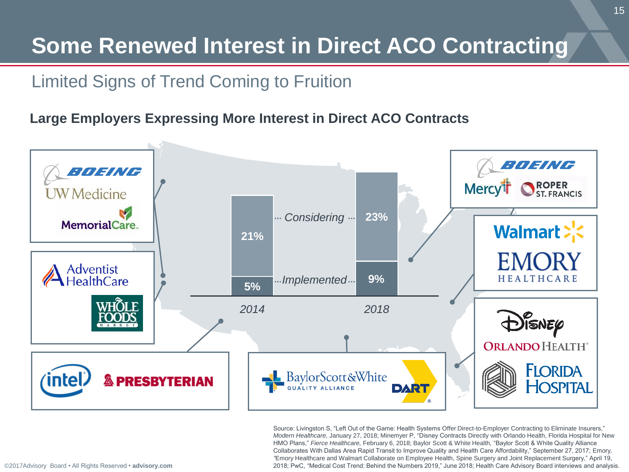## **Some Renewed Interest in Direct ACO Contracting**

### Limited Signs of Trend Coming to Fruition

### **Large Employers Expressing More Interest in Direct ACO Contracts**



Source: Livingston S, "Left Out of the Game: Health Systems Offer Direct-to-Employer Contracting to Eliminate Insurers," *Modern Healthcare,* January 27, 2018; Minemyer P, "Disney Contracts Directly with Orlando Health, Florida Hospital for New HMO Plans," *Fierce Healthcare,* February 6, 2018; Baylor Scott & White Health*,* "Baylor Scott & White Quality Alliance Collaborates With Dallas Area Rapid Transit to Improve Quality and Health Care Affordability," September 27, 2017; Emory*, "*Emory Healthcare and Walmart Collaborate on Employee Health, Spine Surgery and Joint Replacement Surgery," April 19, 2018; PwC, "Medical Cost Trend: Behind the Numbers 2019," June 2018; Health Care Advisory Board interviews and analysis.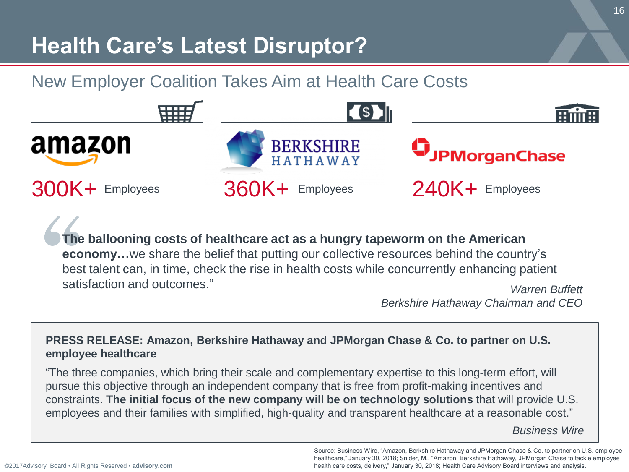## **Health Care's Latest Disruptor?**

### New Employer Coalition Takes Aim at Health Care Costs



**The ballooning costs of healthcare act as a hungry tapeworm on the American economy…**we share the belief that putting our collective resources behind the country's best talent can, in time, check the rise in health costs while concurrently enhancing patient satisfaction and outcomes." *Warren Buffett*

*Berkshire Hathaway Chairman and CEO*

#### **PRESS RELEASE: Amazon, Berkshire Hathaway and JPMorgan Chase & Co. to partner on U.S. employee healthcare**

"The three companies, which bring their scale and complementary expertise to this long-term effort, will pursue this objective through an independent company that is free from profit-making incentives and constraints. **The initial focus of the new company will be on technology solutions** that will provide U.S. employees and their families with simplified, high-quality and transparent healthcare at a reasonable cost."

*Business Wire*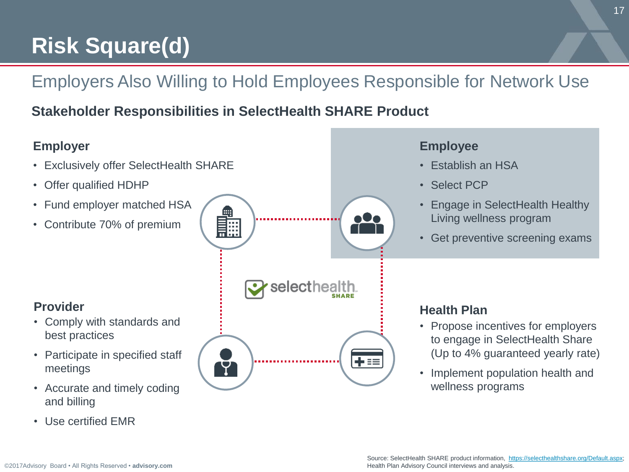## **Risk Square(d)**

### Employers Also Willing to Hold Employees Responsible for Network Use

selecthealth

### **Stakeholder Responsibilities in SelectHealth SHARE Product**

廳

Y

### **Employer Employee**

- Exclusively offer SelectHealth SHARE
- Offer qualified HDHP
- Fund employer matched HSA
- Contribute 70% of premium

### **Provider**

- Comply with standards and best practices
- Participate in specified staff meetings
- Accurate and timely coding and billing
- Use certified EMR



o0e

+≡≡

- Establish an HSA
- Select PCP
- Engage in SelectHealth Healthy Living wellness program
- Get preventive screening exams

### **Health Plan**

- Propose incentives for employers to engage in SelectHealth Share (Up to 4% guaranteed yearly rate)
- Implement population health and wellness programs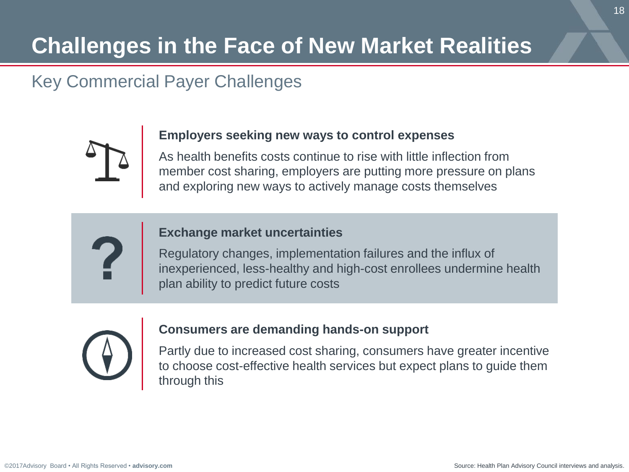## **Challenges in the Face of New Market Realities**

### Key Commercial Payer Challenges



#### **Employers seeking new ways to control expenses**

As health benefits costs continue to rise with little inflection from member cost sharing, employers are putting more pressure on plans and exploring new ways to actively manage costs themselves

#### **Exchange market uncertainties**

Regulatory changes, implementation failures and the influx of inexperienced, less-healthy and high-cost enrollees undermine health plan ability to predict future costs



#### **Consumers are demanding hands-on support**

Partly due to increased cost sharing, consumers have greater incentive to choose cost-effective health services but expect plans to guide them through this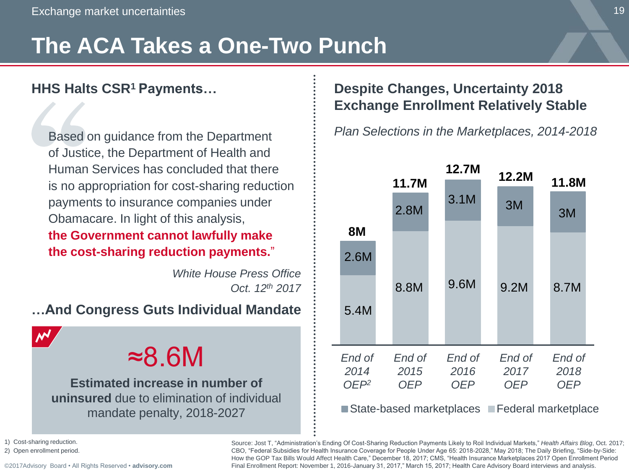## **The ACA Takes a One-Two Punch**

### **HHS Halts CSR<sup>1</sup>Payments…**

Based on guidance from the Department of Justice, the Department of Health and Human Services has concluded that there is no appropriation for cost-sharing reduction payments to insurance companies under Obamacare. In light of this analysis,

**the Government cannot lawfully make the cost-sharing reduction payments.**"

> *White House Press Office Oct. 12th 2017*

#### **…And Congress Guts Individual Mandate**

 $\boldsymbol{\mathcal{N}}$ 

## ≈8.6M

**Estimated increase in number of uninsured** due to elimination of individual mandate penalty, 2018-2027

### **Despite Changes, Uncertainty 2018 Exchange Enrollment Relatively Stable**

*Plan Selections in the Marketplaces, 2014-2018*



1) Cost-sharing reduction.

2) Open enrollment period.

[©2017Advisory Board • All Rights Reserved •](https://www.advisory.com/) **advisory.com**

Source: Jost T, "Administration's Ending Of Cost-Sharing Reduction Payments Likely to Roil Individual Markets," *Health Affairs Blog*, Oct. 2017; CBO, "Federal Subsidies for Health Insurance Coverage for People Under Age 65: 2018-2028," May 2018; The Daily Briefing, "Side-by-Side: How the GOP Tax Bills Would Affect Health Care," December 18, 2017; CMS, "Health Insurance Marketplaces 2017 Open Enrollment Period Final Enrollment Report: November 1, 2016-January 31, 2017," March 15, 2017; Health Care Advisory Board interviews and analysis.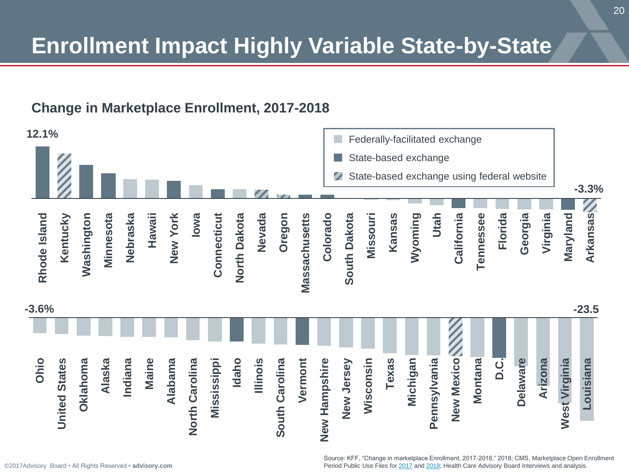## **Enrollment Impact Highly Variable State-by-State**

### **Change in Marketplace Enrollment, 2017-2018**

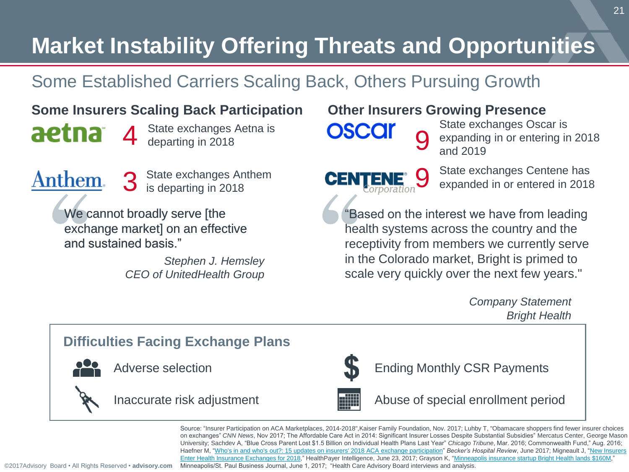## **Market Instability Offering Threats and Opportunities**

### Some Established Carriers Scaling Back, Others Pursuing Growth

### **Some Insurers Scaling Back Participation**

**aetna** 4 State exchanges Aetna is

Anthem.

State exchanges Anthem<br>is departing in 2018

We cannot broadly serve [the exchange market] on an effective and sustained basis."

> *Stephen J. Hemsley CEO of UnitedHealth Group*

### **Other Insurers Growing Presence**

9

**OSCC** 9

**CENTENE®** 

State exchanges Oscar is expanding in or entering in 2018 and 2019

State exchanges Centene has expanded in or entered in 2018

"Based on the interest we have from leading health systems across the country and the receptivity from members we currently serve in the Colorado market, Bright is primed to scale very quickly over the next few years."

> *Company Statement Bright Health*

### **Difficulties Facing Exchange Plans** Abuse of special enrollment period Ending Monthly CSR Payments Inaccurate risk adjustment Adverse selection

Source: "Insurer Participation on ACA Marketplaces, 2014-2018",Kaiser Family Foundation, Nov. 2017; Luhby T, "Obamacare shoppers find fewer insurer choices on exchanges" *CNN News*, Nov 2017; The Affordable Care Act in 2014: Significant Insurer Losses Despite Substantial Subsidies" Mercatus Center, George Mason University; Sachdev A, "Blue Cross Parent Lost \$1.5 Billion on Individual Health Plans Last Year" *Chicago Tribune*, Mar. 2016; Commonwealth Fund," Aug. 2016; Haefner M, ["Who's in and who's out?: 15 updates on insurers' 2018 ACA exchange participation"](https://www.beckershospitalreview.com/payer-issues/who-s-in-and-who-s-out-15-updates-on-insurers-2018-aca-exchange-participation.html) *Becker's Hospital Review*, June 2017; Migneault J, "New Insurers Enter Health Insurance Exchanges for 2018," HealthPayer Intelligence, June 23, 2017; Grayson K, "Minneapolis insurance startup Bright Health lands \$160M, Minneapolis/St. Paul Business Journal, June 1, 2017; "Health Care Advisory Board interviews and analysis.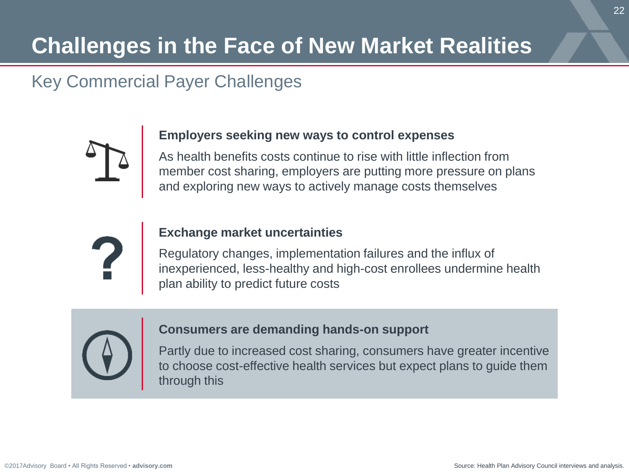## **Challenges in the Face of New Market Realities**

### Key Commercial Payer Challenges



#### **Employers seeking new ways to control expenses**

As health benefits costs continue to rise with little inflection from member cost sharing, employers are putting more pressure on plans and exploring new ways to actively manage costs themselves



#### **Exchange market uncertainties**

Regulatory changes, implementation failures and the influx of inexperienced, less-healthy and high-cost enrollees undermine health plan ability to predict future costs



#### **Consumers are demanding hands-on support**

Partly due to increased cost sharing, consumers have greater incentive to choose cost-effective health services but expect plans to guide them through this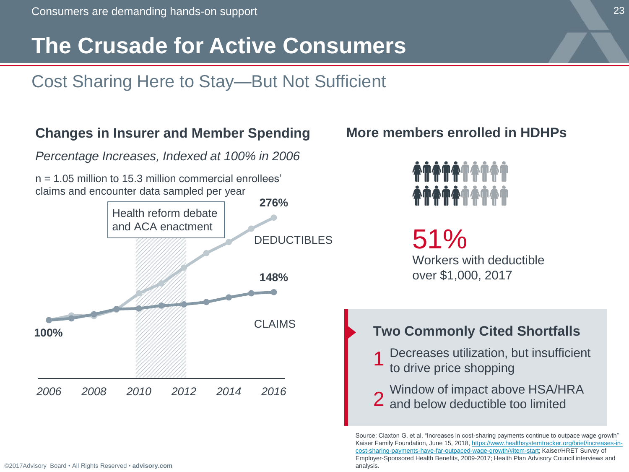## **The Crusade for Active Consumers**

### Cost Sharing Here to Stay—But Not Sufficient

#### **276% 100% 148%** *2006 2008 2010 2012 2014 2016* **Changes in Insurer and Member Spending** *Percentage Increases, Indexed at 100% in 2006*  $n = 1.05$  million to 15.3 million commercial enrollees' claims and encounter data sampled per year Health reform debate and ACA enactment CLAIMS DEDUCTIBLES 51% Workers with deductible over \$1,000, 2017 **More members enrolled in HDHPs Two Commonly Cited Shortfalls**  Decreases utilization, but insufficient to drive price shopping Window of impact above HSA/HRA 2 and below deductible too limited 1

Source: Claxton G, et al, "Increases in cost-sharing payments continue to outpace wage growth" Kaiser Family Foundation, June 15, 2018, https://www.healthsystemtracker.org/brief/increases-in[cost-sharing-payments-have-far-outpaced-wage-growth/#item-start; Kaiser/HRET Survey of](https://www.healthsystemtracker.org/brief/increases-in-cost-sharing-payments-have-far-outpaced-wage-growth/#item-start)  Employer-Sponsored Health Benefits, 2009-2017; Health Plan Advisory Council interviews and analysis.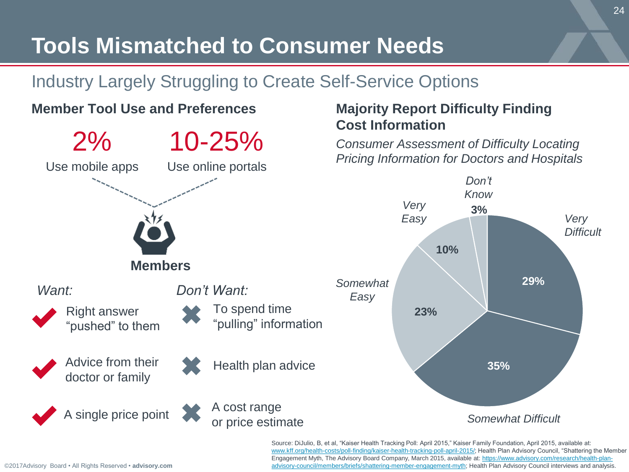## **Tools Mismatched to Consumer Needs**

### Industry Largely Struggling to Create Self-Service Options

### **Member Tool Use and Preferences**



### **Majority Report Difficulty Finding Cost Information**

*Consumer Assessment of Difficulty Locating Pricing Information for Doctors and Hospitals*



Source: DiJulio, B, et al, "Kaiser Health Tracking Poll: April 2015," Kaiser Family Foundation, April 2015, available at: [www.kff.org/health-costs/poll-finding/kaiser-health-tracking-poll-april-2015/;](http://www.kff.org/health-costs/poll-finding/kaiser-health-tracking-poll-april-2015/) Health Plan Advisory Council, "Shattering the Member Engagement Myth, The Advisory Board Company, March 2015, available at: https://www.advisory.com/research/health-plan[advisory-council/members/briefs/shattering-member-engagement-myth; Health Plan Advisory Council interviews and analysis](https://www.advisory.com/research/health-plan-advisory-council/members/briefs/shattering-member-engagement-myth).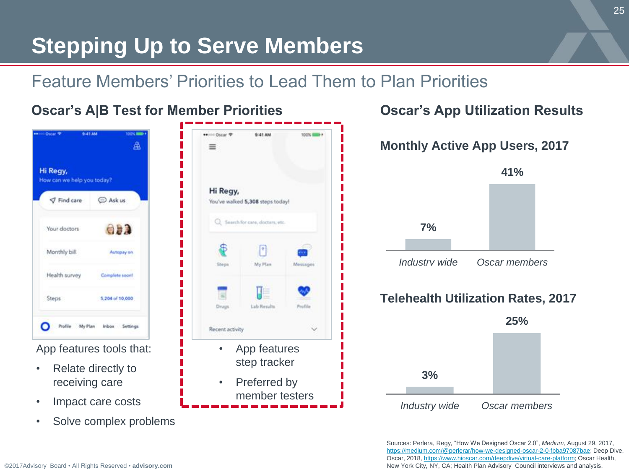## **Stepping Up to Serve Members**

### Feature Members' Priorities to Lead Them to Plan Priorities

| 9:41 AM<br><b>Chatar T</b>                     | <b>100N BIBBI</b><br>翕 | ** HOLDING TO<br>=                | <b>MA 13:0</b> | <b>TOO'S SHEET A</b> |
|------------------------------------------------|------------------------|-----------------------------------|----------------|----------------------|
| Hi Regy,<br>How can we help you today?         |                        | Hi Regy,                          |                |                      |
| <b>△ Ask us</b><br><b>√</b> Find care          |                        | You've walked 5,308 steps today!  |                |                      |
| Your doctors                                   | 安藤之                    | C2 Search for care, doctors, etc. |                |                      |
| Monthly bill                                   | Autopay on             |                                   | ۰              |                      |
| Health survey<br>Complete soon!                |                        | Sheps                             | My Plan        | Мезаврев             |
| <b>Steps</b><br>5,204 of 10,000                |                        |                                   |                |                      |
|                                                |                        | Drugs                             | Lab Results    | Postila              |
| My Plan<br><i>inbox</i><br>Profile<br>Settings |                        | Recent activity                   |                |                      |
| App features tools that:                       |                        |                                   | App features   |                      |
| Relate directly to                             |                        |                                   | step tracker   |                      |
| receiving care                                 |                        | ٠                                 | Preferred by   |                      |
| Impact care costs                              |                        |                                   | member testers |                      |



Sources: Perlera, Regy, "How We Designed Oscar 2.0", *Medium,* August 29, 2017, [https://medium.com/@perlerar/how-we-designed-oscar-2-0-fbba97087bae;](https://medium.com/@perlerar/how-we-designed-oscar-2-0-fbba97087bae) Deep Dive, Oscar, 2018, [https://www.hioscar.com/deepdive/virtual-care-platform;](https://www.hioscar.com/deepdive/virtual-care-platform) Oscar Health, New York City, NY, CA; Health Plan Advisory Council interviews and analysis.

• Solve complex problems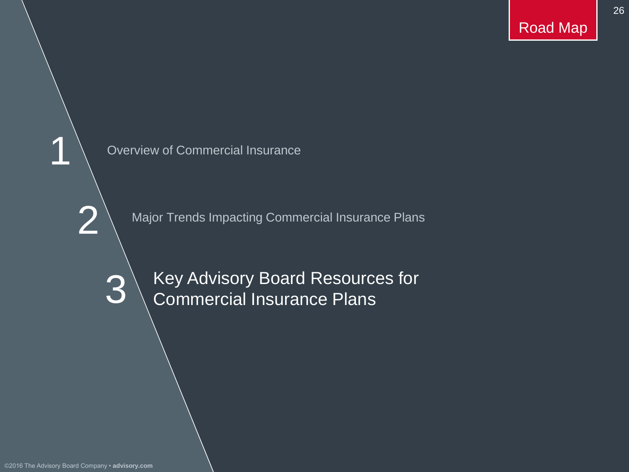26



Major Trends Impacting Commercial Insurance Plans

Key Advisory Board Resources for Commercial Insurance Plans

©2016 The Advisory Board Company • **advisory.com**

2

1

3